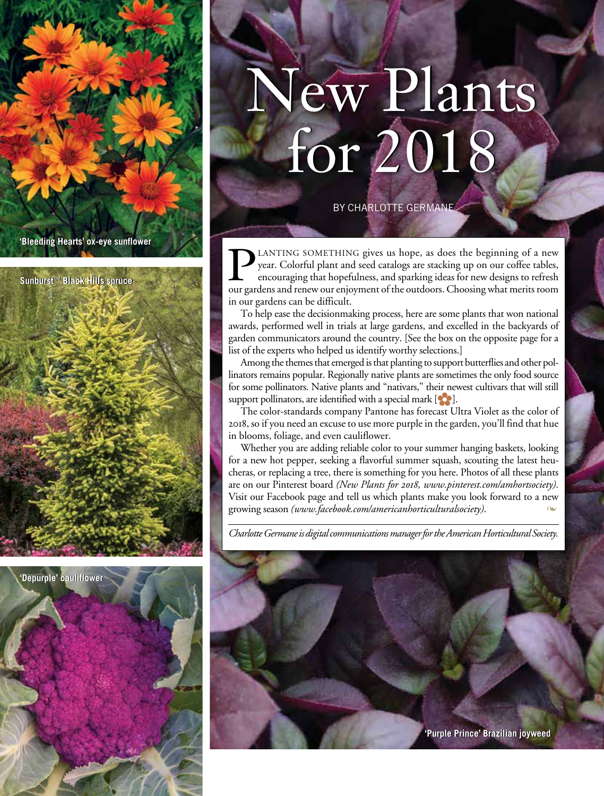



# New Plants for 2018 New Plants for 2018

by charlotte germane

**PLANTING SOMETHING gives us hope, as does the beginning of a new** year. Colorful plant and seed catalogs are stacking up on our coffee tables, encouraging that hopefulness, and sparking ideas for new designs to refresh ou year. Colorful plant and seed catalogs are stacking up on our coffee tables, encouraging that hopefulness, and sparking ideas for new designs to refresh our gardens and renew our enjoyment of the outdoors. Choosing what merits room in our gardens can be difficult.

To help ease the decisionmaking process, here are some plants that won national awards, performed well in trials at large gardens, and excelled in the backyards of garden communicators around the country. [See the box on the opposite page for a list of the experts who helped us identify worthy selections.]

Among the themes that emerged is that planting to support butterflies and other pollinators remains popular. Regionally native plants are sometimes the only food source for some pollinators. Native plants and "nativars," their newest cultivars that will still support pollinators, are identified with a special mark  $[\bullet]$ .

The color-standards company Pantone has forecast Ultra Violet as the color of 2018, so if you need an excuse to use more purple in the garden, you'll find that hue in blooms, foliage, and even cauliflower.

Whether you are adding reliable color to your summer hanging baskets, looking for a new hot pepper, seeking a flavorful summer squash, scouting the latest heucheras, or replacing a tree, there is something for you here. Photos of all these plants are on our Pinterest board *(New Plants for 2018, www.pinterest.com/amhortsociety)*. Visit our Facebook page and tell us which plants make you look forward to a new growing season *(www.facebook.com/americanhorticulturalsociety)*. m

*Charlotte Germane is digital communications manager for the American Horticultural Society.*

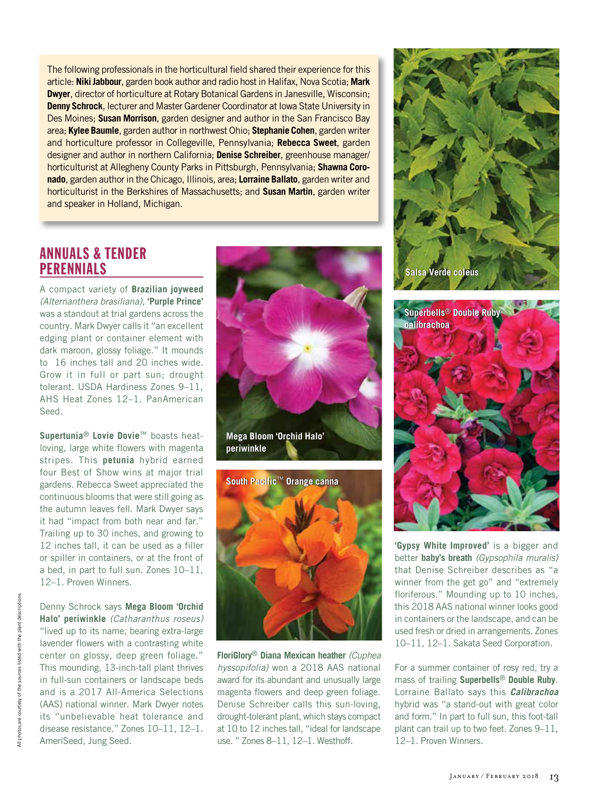The following professionals in the horticultural field shared their experience for this article: **Niki Jabbour**, garden book author and radio host in Halifax, Nova Scotia; **Mark Dwyer**, director of horticulture at Rotary Botanical Gardens in Janesville, Wisconsin; **Denny Schrock**, lecturer and Master Gardener Coordinator at Iowa State University in Des Moines; **Susan Morrison**, garden designer and author in the San Francisco Bay area; **Kylee Baumle**, garden author in northwest Ohio; **Stephanie Cohen**, garden writer and horticulture professor in Collegeville, Pennsylvania; **Rebecca Sweet**, garden designer and author in northern California; **Denise Schreiber**, greenhouse manager/ horticulturist at Allegheny County Parks in Pittsburgh, Pennsylvania; **Shawna Coronado**, garden author in the Chicago, Illinois, area; **Lorraine Ballato**, garden writer and horticulturist in the Berkshires of Massachusetts; and **Susan Martin**, garden writer and speaker in Holland, Michigan.

## ANNUALS & TENDER **PERENNIALS**

A compact variety of **Brazilian joyweed**  *(Alternanthera brasiliana)*, **'Purple Prince'** was a standout at trial gardens across the country. Mark Dwyer calls it "an excellent edging plant or container element with dark maroon, glossy foliage." It mounds to 16 inches tall and 20 inches wide. Grow it in full or part sun; drought tolerant. USDA Hardiness Zones 9–11, AHS Heat Zones 12–1. PanAmerican Seed.

**Supertunia**® **Lovie Dovie**™ boasts heatloving, large white flowers with magenta stripes. This **petunia** hybrid earned four Best of Show wins at major trial gardens. Rebecca Sweet appreciated the continuous blooms that were still going as the autumn leaves fell. Mark Dwyer says it had "impact from both near and far." Trailing up to 30 inches, and growing to 12 inches tall, it can be used as a filler or spiller in containers, or at the front of a bed, in part to full sun. Zones 10–11, 12–1. Proven Winners.

Denny Schrock says **Mega Bloom 'Orchid Halo' periwinkle** *(Catharanthus roseus)* "lived up to its name, bearing extra-large lavender flowers with a contrasting white center on glossy, deep green foliage." This mounding, 13-inch-tall plant thrives in full-sun containers or landscape beds and is a 2017 All-America Selections (AAS) national winner. Mark Dwyer notes its "unbelievable heat tolerance and disease resistance." Zones 10–11, 12–1. AmeriSeed, Jung Seed.





**FloriGlory**® **Diana Mexican heather** *(Cuphea hyssopifolia)* won a 2018 AAS national award for its abundant and unusually large magenta flowers and deep green foliage. Denise Schreiber calls this sun-loving, drought-tolerant plant, which stays compact at 10 to 12 inches tall, "ideal for landscape use. " Zones 8–11, 12–1. Westhoff.





**'Gypsy White Improved'** is a bigger and better **baby's breath** *(Gypsophila muralis)* that Denise Schreiber describes as "a winner from the get go" and "extremely floriferous." Mounding up to 10 inches, this 2018 AAS national winner looks good in containers or the landscape, and can be used fresh or dried in arrangements. Zones 10–11, 12–1. Sakata Seed Corporation.

For a summer container of rosy red, try a mass of trailing **Superbells**® **Double Ruby**. Lorraine Ballato says this *Calibrachoa* hybrid was "a stand-out with great color and form." In part to full sun, this foot-tall plant can trail up to two feet. Zones 9–11, 12–1. Proven Winners.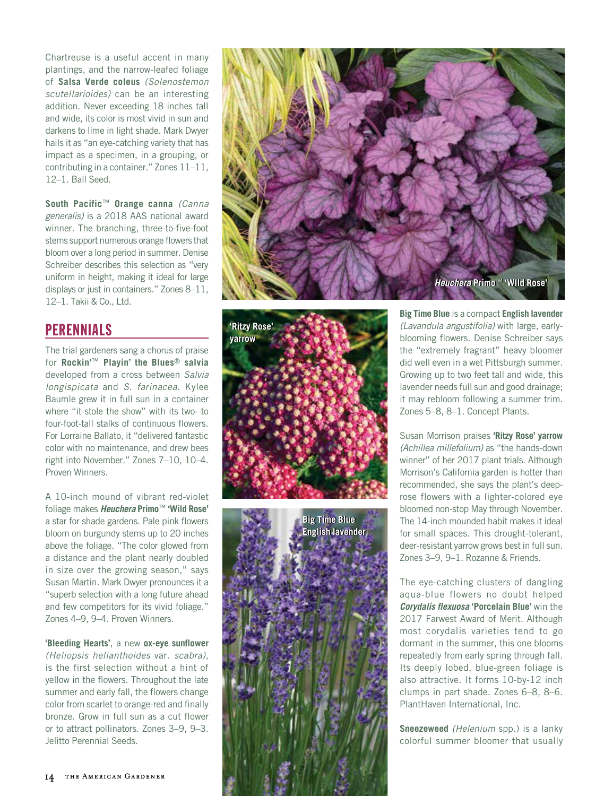Chartreuse is a useful accent in many plantings, and the narrow-leafed foliage of **Salsa Verde coleus** *(Solenostemon scutellarioides)* can be an interesting addition. Never exceeding 18 inches tall and wide, its color is most vivid in sun and darkens to lime in light shade. Mark Dwyer hails it as "an eye-catching variety that has impact as a specimen, in a grouping, or contributing in a container." Zones 11–11, 12–1. Ball Seed.

**South Pacific**™ **Orange canna** *(Canna generalis)* is a 2018 AAS national award winner. The branching, three-to-five-foot stems support numerous orange flowers that bloom over a long period in summer. Denise Schreiber describes this selection as "very uniform in height, making it ideal for large displays or just in containers." Zones 8–11, 12–1. Takii & Co., Ltd.

## **PERENNIALS**

The trial gardeners sang a chorus of praise for **Rockin'**™ **Playin' the Blues**® **salvia**  developed from a cross between *Salvia longispicata* and *S. farinacea*. Kylee Baumle grew it in full sun in a container where "it stole the show" with its two- to four-foot-tall stalks of continuous flowers. For Lorraine Ballato, it "delivered fantastic color with no maintenance, and drew bees right into November." Zones 7–10, 10–4. Proven Winners.

A 10-inch mound of vibrant red-violet foliage makes *Heuchera* **Primo**™ **'Wild Rose'** a star for shade gardens. Pale pink flowers bloom on burgundy stems up to 20 inches above the foliage. "The color glowed from a distance and the plant nearly doubled in size over the growing season," says Susan Martin. Mark Dwyer pronounces it a "superb selection with a long future ahead and few competitors for its vivid foliage." Zones 4–9, 9–4. Proven Winners.

**'Bleeding Hearts'**, a new **ox-eye sunflower**  *(Heliopsis helianthoides* var. *scabra)*, is the first selection without a hint of yellow in the flowers. Throughout the late summer and early fall, the flowers change color from scarlet to orange-red and finally bronze. Grow in full sun as a cut flower or to attract pollinators. Zones 3–9, 9–3. Jelitto Perennial Seeds.







**Big Time Blue** is a compact **English lavender** *(Lavandula angustifolia)* with large, earlyblooming flowers. Denise Schreiber says the "extremely fragrant" heavy bloomer did well even in a wet Pittsburgh summer. Growing up to two feet tall and wide, this lavender needs full sun and good drainage; it may rebloom following a summer trim. Zones 5–8, 8–1. Concept Plants.

Susan Morrison praises **'Ritzy Rose' yarrow** *(Achillea millefolium)* as "the hands-down winner" of her 2017 plant trials. Although Morrison's California garden is hotter than recommended, she says the plant's deeprose flowers with a lighter-colored eye bloomed non-stop May through November. The 14-inch mounded habit makes it ideal for small spaces. This drought-tolerant, deer-resistant yarrow grows best in full sun. Zones 3–9, 9–1. Rozanne & Friends.

The eye-catching clusters of dangling aqua-blue flowers no doubt helped *Corydalis flexuosa* **'Porcelain Blue'** win the 2017 Farwest Award of Merit. Although most corydalis varieties tend to go dormant in the summer, this one blooms repeatedly from early spring through fall. Its deeply lobed, blue-green foliage is also attractive. It forms 10-by-12 inch clumps in part shade. Zones 6–8, 8–6. PlantHaven International, Inc.

**Sneezeweed** *(Helenium* spp.) is a lanky colorful summer bloomer that usually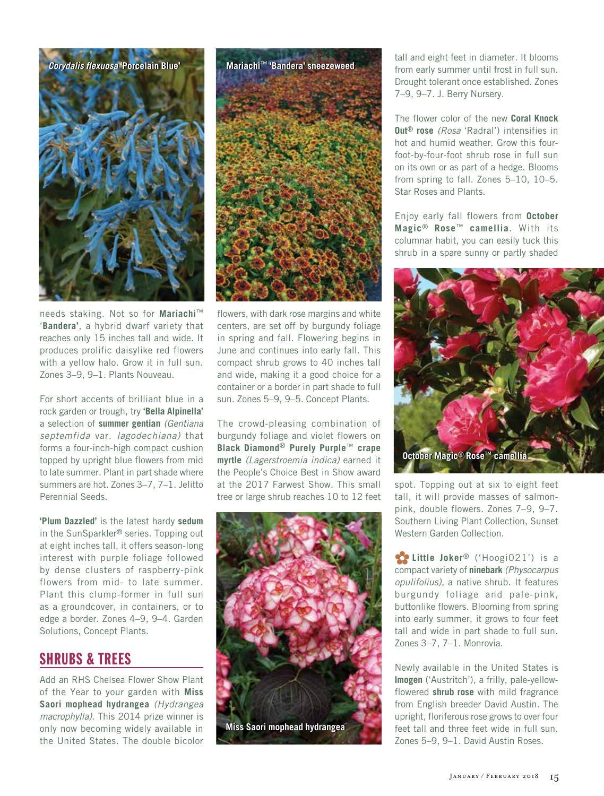

needs staking. Not so for **Mariachi**™ '**Bandera'**, a hybrid dwarf variety that reaches only 15 inches tall and wide. It produces prolific daisylike red flowers with a yellow halo. Grow it in full sun. Zones 3–9, 9–1. Plants Nouveau.

For short accents of brilliant blue in a rock garden or trough, try **'Bella Alpinella'**  a selection of **summer gentian** *(Gentiana septemfida* var. *lagodechiana)* that forms a four-inch-high compact cushion topped by upright blue flowers from mid to late summer. Plant in part shade where summers are hot. Zones 3–7, 7–1. Jelitto Perennial Seeds.

**'Plum Dazzled'** is the latest hardy **sedum**  in the SunSparkler® series. Topping out at eight inches tall, it offers season-long interest with purple foliage followed by dense clusters of raspberry-pink flowers from mid- to late summer. Plant this clump-former in full sun as a groundcover, in containers, or to edge a border. Zones 4–9, 9–4. Garden Solutions, Concept Plants.

#### SHRUBS & TREES

Add an RHS Chelsea Flower Show Plant of the Year to your garden with **Miss Saori mophead hydrangea** *(Hydrangea macrophylla)*. This 2014 prize winner is only now becoming widely available in the United States. The double bicolor



flowers, with dark rose margins and white centers, are set off by burgundy foliage in spring and fall. Flowering begins in June and continues into early fall. This compact shrub grows to 40 inches tall and wide, making it a good choice for a container or a border in part shade to full sun. Zones 5–9, 9–5. Concept Plants.

The crowd-pleasing combination of burgundy foliage and violet flowers on **Black Diamond**® **Purely Purple**™ **crape myrtle** *(Lagerstroemia indica)* earned it the People's Choice Best in Show award at the 2017 Farwest Show. This small tree or large shrub reaches 10 to 12 feet



tall and eight feet in diameter. It blooms from early summer until frost in full sun. Drought tolerant once established. Zones 7–9, 9–7. J. Berry Nursery.

The flower color of the new **Coral Knock Out**® **rose** *(Rosa* 'Radral') intensifies in hot and humid weather. Grow this fourfoot-by-four-foot shrub rose in full sun on its own or as part of a hedge. Blooms from spring to fall. Zones 5–10, 10–5. Star Roses and Plants.

Enjoy early fall flowers from **October Magic**® **Rose**™ **camellia**. With its columnar habit, you can easily tuck this shrub in a spare sunny or partly shaded



spot. Topping out at six to eight feet tall, it will provide masses of salmonpink, double flowers. Zones 7–9, 9–7. Southern Living Plant Collection, Sunset Western Garden Collection.

**with the Joker<sup>®</sup>** ('Hoogi021') is a compact variety of **ninebark** *(Physocarpus opulifolius)*, a native shrub. It features burgundy foliage and pale-pink, buttonlike flowers. Blooming from spring into early summer, it grows to four feet tall and wide in part shade to full sun. Zones 3–7, 7–1. Monrovia.

Newly available in the United States is **Imogen** ('Austritch'), a frilly, pale-yellowflowered **shrub rose** with mild fragrance from English breeder David Austin. The upright, floriferous rose grows to over four feet tall and three feet wide in full sun. Zones 5–9, 9–1. David Austin Roses.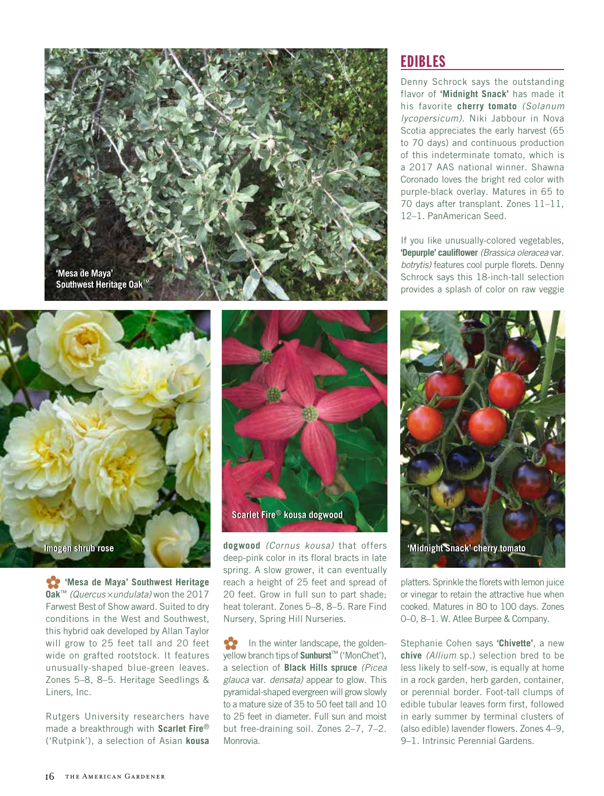



**Wesa de Maya' Southwest Heritage Oak**™ *(Quercus* 5*undulata)* won the 2017 Farwest Best of Show award. Suited to dry conditions in the West and Southwest, this hybrid oak developed by Allan Taylor will grow to 25 feet tall and 20 feet wide on grafted rootstock. It features unusually-shaped blue-green leaves. Zones 5–8, 8–5. Heritage Seedlings & Liners, Inc.

Rutgers University researchers have made a breakthrough with **Scarlet Fire**® ('Rutpink'), a selection of Asian **kousa** 



**dogwood** *(Cornus kousa)* that offers deep-pink color in its floral bracts in late spring. A slow grower, it can eventually reach a height of 25 feet and spread of 20 feet. Grow in full sun to part shade; heat tolerant. Zones 5–8, 8–5. Rare Find Nursery, Spring Hill Nurseries.

In the winter landscape, the goldenyellow branch tips of **Sunburst**™ ('MonChet'), a selection of **Black Hills spruce** *(Picea glauca* var. *densata)* appear to glow. This pyramidal-shaped evergreen will grow slowly to a mature size of 35 to 50 feet tall and 10 to 25 feet in diameter. Full sun and moist but free-draining soil. Zones 2–7, 7–2. Monrovia.

# EDIBLES

Denny Schrock says the outstanding flavor of **'Midnight Snack'** has made it his favorite **cherry tomato** *(Solanum lycopersicum)*. Niki Jabbour in Nova Scotia appreciates the early harvest (65 to 70 days) and continuous production of this indeterminate tomato, which is a 2017 AAS national winner. Shawna Coronado loves the bright red color with purple-black overlay. Matures in 65 to 70 days after transplant. Zones 11–11, 12–1. PanAmerican Seed.

If you like unusually-colored vegetables, **'Depurple' cauliflower** *(Brassica oleracea* var. *botrytis)* features cool purple florets. Denny Schrock says this 18-inch-tall selection provides a splash of color on raw veggie



platters. Sprinkle the florets with lemon juice or vinegar to retain the attractive hue when cooked. Matures in 80 to 100 days. Zones 0–0, 8–1. W. Atlee Burpee & Company.

Stephanie Cohen says **'Chivette'**, a new **chive** *(Allium* sp.) selection bred to be less likely to self-sow, is equally at home in a rock garden, herb garden, container, or perennial border. Foot-tall clumps of edible tubular leaves form first, followed in early summer by terminal clusters of (also edible) lavender flowers. Zones 4–9, 9–1. Intrinsic Perennial Gardens.